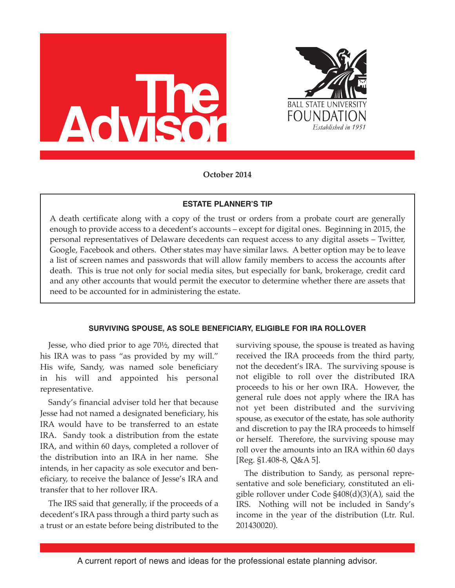



**October 2014**

# **ESTATE PLANNER'S TIP**

A death certificate along with a copy of the trust or orders from a probate court are generally enough to provide access to a decedent's accounts – except for digital ones. Beginning in 2015, the personal representatives of Delaware decedents can request access to any digital assets – Twitter, Google, Facebook and others. Other states may have similar laws. A better option may be to leave a list of screen names and passwords that will allow family members to access the accounts after death. This is true not only for social media sites, but especially for bank, brokerage, credit card and any other accounts that would permit the executor to determine whether there are assets that need to be accounted for in administering the estate.

## **SURVIVING SPOUSE, AS SOLE BENEFICIARY, ELIGIBLE FOR IRA ROLLOVER**

Jesse, who died prior to age 70½, directed that his IRA was to pass "as provided by my will." His wife, Sandy, was named sole beneficiary in his will and appointed his personal representative.

Sandy's financial adviser told her that because Jesse had not named a designated beneficiary, his IRA would have to be transferred to an estate IRA. Sandy took a distribution from the estate IRA, and within 60 days, completed a rollover of the distribution into an IRA in her name. She intends, in her capacity as sole executor and beneficiary, to receive the balance of Jesse's IRA and transfer that to her rollover IRA.

The IRS said that generally, if the proceeds of a decedent's IRA pass through a third party such as a trust or an estate before being distributed to the

surviving spouse, the spouse is treated as having received the IRA proceeds from the third party, not the decedent's IRA. The surviving spouse is not eligible to roll over the distributed IRA proceeds to his or her own IRA. However, the general rule does not apply where the IRA has not yet been distributed and the surviving spouse, as executor of the estate, has sole authority and discretion to pay the IRA proceeds to himself or herself. Therefore, the surviving spouse may roll over the amounts into an IRA within 60 days [Reg. §1.408-8, Q&A 5].

The distribution to Sandy, as personal representative and sole beneficiary, constituted an eligible rollover under Code §408(d)(3)(A), said the IRS. Nothing will not be included in Sandy's income in the year of the distribution (Ltr. Rul. 201430020).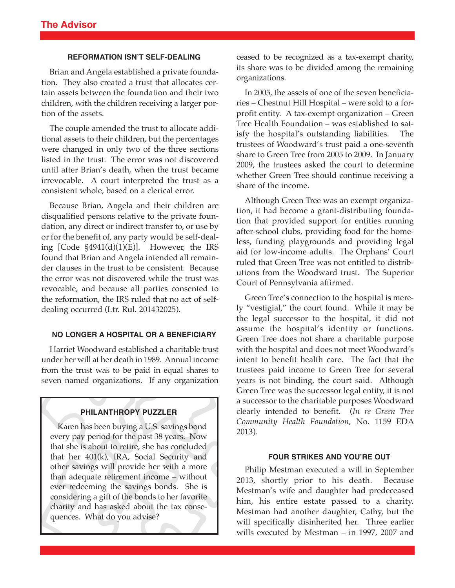### **REFORMATION ISN'T SELF-DEALING**

Brian and Angela established a private foundation. They also created a trust that allocates certain assets between the foundation and their two children, with the children receiving a larger portion of the assets.

The couple amended the trust to allocate additional assets to their children, but the percentages were changed in only two of the three sections listed in the trust. The error was not discovered until after Brian's death, when the trust became irrevocable. A court interpreted the trust as a consistent whole, based on a clerical error.

Because Brian, Angela and their children are disqualified persons relative to the private foundation, any direct or indirect transfer to, or use by or for the benefit of, any party would be self-dealing [Code §4941(d)(1)(E)]. However, the IRS found that Brian and Angela intended all remainder clauses in the trust to be consistent. Because the error was not discovered while the trust was revocable, and because all parties consented to the reformation, the IRS ruled that no act of selfdealing occurred (Ltr. Rul. 201432025).

### **NO LONGER A HOSPITAL OR A BENEFICIARY**

Harriet Woodward established a charitable trust under her will at her death in 1989. Annual income from the trust was to be paid in equal shares to seven named organizations. If any organization

### **PHILANTHROPY PUZZLER**

Karen has been buying a U.S. savings bond every pay period for the past 38 years. Now that she is about to retire, she has concluded that her 401(k), IRA, Social Security and other savings will provide her with a more than adequate retirement income – without ever redeeming the savings bonds. She is considering a gift of the bonds to her favorite charity and has asked about the tax consequences. What do you advise?

ceased to be recognized as a tax-exempt charity, its share was to be divided among the remaining organizations.

In 2005, the assets of one of the seven beneficiaries – Chestnut Hill Hospital – were sold to a forprofit entity. A tax-exempt organization – Green Tree Health Foundation – was established to satisfy the hospital's outstanding liabilities. The trustees of Woodward's trust paid a one-seventh share to Green Tree from 2005 to 2009. In January 2009, the trustees asked the court to determine whether Green Tree should continue receiving a share of the income.

Although Green Tree was an exempt organization, it had become a grant-distributing foundation that provided support for entities running after-school clubs, providing food for the homeless, funding playgrounds and providing legal aid for low-income adults. The Orphans' Court ruled that Green Tree was not entitled to distributions from the Woodward trust. The Superior Court of Pennsylvania affirmed.

Green Tree's connection to the hospital is merely "vestigial," the court found. While it may be the legal successor to the hospital, it did not assume the hospital's identity or functions. Green Tree does not share a charitable purpose with the hospital and does not meet Woodward's intent to benefit health care. The fact that the trustees paid income to Green Tree for several years is not binding, the court said. Although Green Tree was the successor legal entity, it is not a successor to the charitable purposes Woodward clearly intended to benefit. (*In re Green Tree Community Health Foundation*, No. 1159 EDA 2013).

#### **FOUR STRIKES AND YOU'RE OUT**

Philip Mestman executed a will in September 2013, shortly prior to his death. Because Mestman's wife and daughter had predeceased him, his entire estate passed to a charity. Mestman had another daughter, Cathy, but the will specifically disinherited her. Three earlier wills executed by Mestman – in 1997, 2007 and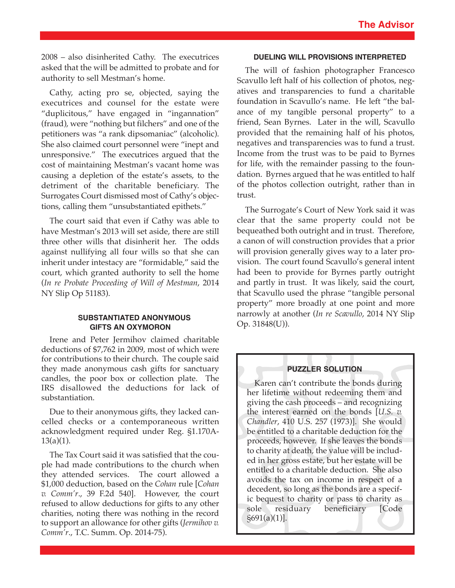2008 – also disinherited Cathy. The executrices asked that the will be admitted to probate and for authority to sell Mestman's home.

Cathy, acting pro se, objected, saying the executrices and counsel for the estate were "duplicitous," have engaged in "ingannation" (fraud), were "nothing but filchers" and one of the petitioners was "a rank dipsomaniac" (alcoholic). She also claimed court personnel were "inept and unresponsive." The executrices argued that the cost of maintaining Mestman's vacant home was causing a depletion of the estate's assets, to the detriment of the charitable beneficiary. The Surrogates Court dismissed most of Cathy's objections, calling them "unsubstantiated epithets."

The court said that even if Cathy was able to have Mestman's 2013 will set aside, there are still three other wills that disinherit her. The odds against nullifying all four wills so that she can inherit under intestacy are "formidable," said the court, which granted authority to sell the home (*In re Probate Proceeding of Will of Mestman*, 2014 NY Slip Op 51183).

## **SUBSTANTIATED ANONYMOUS GIFTS AN OXYMORON**

Irene and Peter Jermihov claimed charitable deductions of \$7,762 in 2009, most of which were for contributions to their church. The couple said they made anonymous cash gifts for sanctuary candles, the poor box or collection plate. The IRS disallowed the deductions for lack of substantiation.

Due to their anonymous gifts, they lacked cancelled checks or a contemporaneous written acknowledgment required under Reg. §1.170A- $13(a)(1)$ .

The Tax Court said it was satisfied that the couple had made contributions to the church when they attended services. The court allowed a \$1,000 deduction, based on the *Cohan* rule [*Cohan v. Comm'r*., 39 F.2d 540]. However, the court refused to allow deductions for gifts to any other charities, noting there was nothing in the record to support an allowance for other gifts (*Jermihov v. Comm'r*., T.C. Summ. Op. 2014-75).

## **DUELING WILL PROVISIONS INTERPRETED**

The will of fashion photographer Francesco Scavullo left half of his collection of photos, negatives and transparencies to fund a charitable foundation in Scavullo's name. He left "the balance of my tangible personal property" to a friend, Sean Byrnes. Later in the will, Scavullo provided that the remaining half of his photos, negatives and transparencies was to fund a trust. Income from the trust was to be paid to Byrnes for life, with the remainder passing to the foundation. Byrnes argued that he was entitled to half of the photos collection outright, rather than in trust.

The Surrogate's Court of New York said it was clear that the same property could not be bequeathed both outright and in trust. Therefore, a canon of will construction provides that a prior will provision generally gives way to a later provision. The court found Scavullo's general intent had been to provide for Byrnes partly outright and partly in trust. It was likely, said the court, that Scavullo used the phrase "tangible personal property" more broadly at one point and more narrowly at another (*In re Scavullo*, 2014 NY Slip Op. 31848(U)).

### **PUZZLER SOLUTION**

Karen can't contribute the bonds during her lifetime without redeeming them and giving the cash proceeds – and recognizing the interest earned on the bonds [*U.S. v. Chandler*, 410 U.S. 257 (1973)]. She would be entitled to a charitable deduction for the proceeds, however. If she leaves the bonds to charity at death, the value will be included in her gross estate, but her estate will be entitled to a charitable deduction. She also avoids the tax on income in respect of a decedent, so long as the bonds are a specific bequest to charity or pass to charity as sole residuary beneficiary [Code] §691(a)(1)].